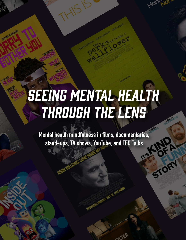# SEEING MENTAL HEALTH THROUGH THE LENS

Mental health mindfulness in films, documentaries, stand-ups, TV shows, YouTube, and TED Talks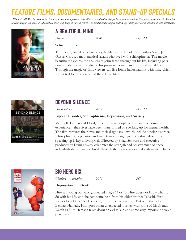# Feature Films, Documentaries, and Stand-up Specials

*DISCLAIMER: The items on this list are for educational purposes only. BUMC is not responsible for the statements made in these films, shows, and etc. The titles in each category are listed in alphabetical order and range in various genres. The mental health subject matter, age rating and year is included in each description.*



### A Beautiful Mind

*Drama 2001 PG - 13*

#### **Schizophrenia**

This movie, based on a true story, highlights the life of John Forbes Nash, Jr. (Russel Crow), a mathematical savant who lived with schizophrenia. The movie beautifully captures the challenges John faced throughout his life, including paranoia and delusions that altered his promising career and deeply affected his life. Through the magic of film, viewers can live John's hallucinations with him, which feel as real to the audience as they did to him.



### Beyond Silence

*Documentary 2017 PG - 13*

#### **Bipolar Disorder, Schizophrenia, Depression, and Anxiety**

Meet Jeff, Lauren and Lloyd, three different people who share one common experience—their lives have been transformed by speaking up for mental health. The film captures their lives and their diagnoses—which include bipolar disorder, schizophrenia, depression and anxiety—weaving together a story about how speaking up is key to living well. Directed by Shaul Schwarz and executive produced by Demi Lovato, celebrates the strength and perseverance of these individuals determined to break through the silence associated with mental illness.



### Big Hero Six

*Children - Animation 2014 PG*

#### **Depression and Grief**

Hiro is a young boy who graduated at age 14 or 13. Hiro does not know what to do with his life, until he gets some help from his older brother Tadashi. Hiro applies to get in a "nerd" college, only to be traumatized. But with the help of Baymax Hamada, Hiro goes on an unexpected journey with some of his friends. Watch as Hiro Hamada takes down an evil villain and some very important people pass away.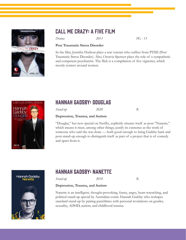



### Call Me Crazy: A Five Film

*Drama 2013 PG - 13*

#### **Post Traumatic Stress Disorder**

In the film, Jennifer Hudson plays a war veteran who suffers from PTSD (Post Traumatic Stress Disorder). Also, Octavia Spencer plays the role of a sympathetic and competent psychiatrist. The flick is a compilation of five vignettes, which mostly centers around women.



### Hannah Gadsby: Douglas

*Stand-up 2020 R*

#### **Depression, Trauma, and Autism**

"Douglas," her new special on Netflix, explicitly situates itself as post-"Nanette," which means it must, among other things, justify its existence as the work of someone who said she was done — both good enough to bring Gadsby back and post-stand-up enough to distinguish itself as part of a project that is of comedy and apart from it.



### Hannah Gadsby: Nanette

*Stand-up 2018 R*

#### **Depression, Trauma, and Autism**

Nanette is an intelligent, thought-provoking, funny, angry, heart-wrenching, and political stand-up special by Australian comic Hannah Gadsby who reshapes standard stand-up by pairing punchlines with personal revelations on gender, sexuality, ADHD, autism, and childhood trauma.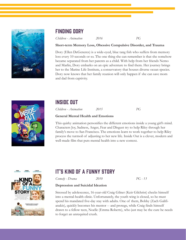

### Finding Dory

*Children - Animation 2016 PG*

#### **Short-term Memory Loss, Obessive Compulsive Disorder, and Trauma**

Dory (Ellen DeGeneres) is a wide-eyed, blue tang fish who suffers from memory loss every 10 seconds or so. The one thing she can remember is that she somehow became separated from her parents as a child. With help from her friends Nemo and Marlin, Dory embarks on an epic adventure to find them. Her journey brings her to the Marine Life Institute, a conservatory that houses diverse ocean species. Dory now knows that her family reunion will only happen if she can save mom and dad from captivity.



### Inside Out

*Children - Animation 2015 PG*

#### **General Mental Health and Emotions**

This quirky animation personifies the different emotions inside a young girl's mind. Characters Joy, Sadness, Anger, Fear and Disgust try to help Riley through her family's move to San Francisco. The emotions learn to work together to help Riley process the turmoil of adjusting to her new life. Inside Out is a clever, modern and well-made film that puts mental health into a new context.



### It's Kind of a Funny Story

*Comedy - Drama 2010 PG - 13*

#### **Depression and Suicidal Ideation**

Stressed by adolescence, 16-year-old Craig Gilner (Keir Gilchrist) checks himself into a mental-health clinic. Unfortunately, the youth wing is closed, so he must spend his mandated five-day stay with adults. One of them, Bobby (Zach Galifianakis), quickly becomes his mentor -- and protege, while Craig finds himself drawn to a fellow teen, Noelle (Emma Roberts), who just may be the cure he needs to forget an unrequited crush.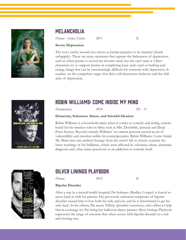

### **MELANCHOLIA**

*Drama - Science Fiction 2011 R*

#### **Severe Depression**

The story circles around two sisters as Justine prepares to be married (clearly unhappily). There are many moments that capture the listlessness of depression, such as when Justine is served her favorite meal, but she can't taste it. Other characters try to support Justine in completing basic tasks such as bathing and eating, things that can be excruciatingly difficult for someone with depression. It touches on the compulsive urges that drive self-destructive behavior and the dull ache of depression.



### Robin Williams: Come Inside My Mind

*Documentary 2018 PG - 13*

#### **Dementia, Substance Abuse, and Suicidal Ideation**

Robin Williams is a household name when it comes to comedy and acting, remembered for his timeless roles in films such as Mrs. Doubtfire, Jumanji and Dead Poets Society. Beyond comedy, Williams' on-camera persona carried an air of vulnerability and emotion unlike his contemporaries. Robin Williams: Come Inside My Mind uses rare archival footage from the actor's life to closely examine the inner workings of his brilliance, which were affected by substance abuse, dementia diagnosis and, what many perceived, as an addiction to comedy itself.



### Silver Linings Playbook

*Drama 2012 R*

#### **Bipolar Disorder**

After a stay in a mental health hospital, Pat Solatano (Bradley Cooper) is forced to move back in with his parents. His previously untreated symptoms of bipolar disorder caused him to lose both his wife and job, and he is determined to get his wife back. In his efforts, Pat meets Tiffany (Jennifer Lawrence), who offers to help him in exchange for Pat being her ballroom dance partner. Silver Linings Playbook represents the range of emotion that often occurs with bipolar disorder in a real and riveting way.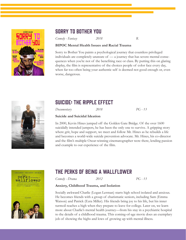

### Sorry to Bother You

*Comedy - Fantasy 2018 R*

#### **BIPOC Mental Health Issues and Racial Trauma**

Sorry to Bother You paints a psychological journey that countless privileged individuals are completely unaware of — a journey that has severe mental consequences when you're not of the benefiting race or class. By putting this on glaring display, the film is representative of the choices people of color face every day, when far too often being your authentic self is deemed not good enough or, even worse, dangerous.



### Suicide: the Ripple Effect

*Documentary 2018 PG - 13*

#### **Suicide and Suicidal Ideation**

In 2000, Kevin Hines jumped off the Golden Gate Bridge. Of the over 1600 suicidally intended jumpers, he has been the only one to survive. A gripping story where grit, hope and support, we meet and follow Mr. Hines as he rebuilds a life and becomes a world-wide suicide prevention advocate. Mr. Hines, his co-director and the film's multiple Oscar-winning cinematographer were there, lending passion and example to our experience of the film.



### The Perks of Being a Wallflower

*Comedy - Drama 2012 PG - 13*

#### **Anxiety, Childhood Trauma, and Isolation**

Socially awkward Charlie (Logan Lerman) starts high school isolated and anxious. He becomes friends with a group of charismatic seniors, including Sam (Emma Watson) and Patrick (Ezra Miller). His friends bring joy to his life, but his inner turmoil reaches a high when they prepare to leave for college. Later on, we learn more about Charlie's mental health journey—from his stay in a psychiatric hospital to the details of a childhood trauma. This coming-of-age movie does an exemplary job of showing the highs and lows of growing up with mental illness.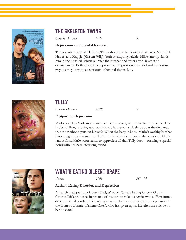

### The Skeleton Twins

*Comedy - Drama 2014 R*

#### **Depression and Suicidal Ideation**

The opening scene of Skeleton Twins shows the film's main characters, Milo (Bill Hader) and Maggie (Kristen Wiig), both attempting suicide. Milo's attempt lands him in the hospital, which reunites the brother and sister after 10 years of estrangement. Both characters express their depression in candid and humorous ways as they learn to accept each other and themselves.



### **TULLY**

*Comedy - Drama 2018 R*

#### **Postpartum Depression**

Marlo is a New York suburbanite who's about to give birth to her third child. Her husband, Ron, is loving and works hard, but remains clueless about the demands that motherhood puts on his wife. When the baby is born, Marlo's wealthy brother hires a nighttime nanny named Tully to help his sister handle the workload. Hesitant at first, Marlo soon learns to appreciate all that Tully does -- forming a special bond with her new, lifesaving friend.



### WHAT'S EATING GILBERT GRAPE

*Drama 1993 PG - 13*

#### **Autism, Eating Disorder, and Depression**

A heartfelt adaptation of Peter Hedges' novel, What's Eating Gilbert Grape features DiCaprio excelling in one of his earliest roles as Arnie, who suffers from a developmental condition, including autism. The movie also features depression in the form of Bonnie (Darlene Cates), who has given up on life after the suicide of her husband.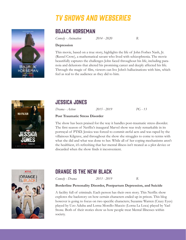# **TV SHOWS AND WEBSERIES**



### Bojack Horseman

*Comedy - Animation 2014 - 2020 R*

#### **Depression**

This movie, based on a true story, highlights the life of John Forbes Nash, Jr. (Russel Crow), a mathematical savant who lived with schizophrenia. The movie beautifully captures the challenges John faced throughout his life, including paranoia and delusions that altered his promising career and deeply affected his life. Through the magic of film, viewers can live John's hallucinations with him, which feel as real to the audience as they did to him.



### Jessica Jones

*Drama - Action 2015 - 2019 PG - 13*

#### **Post Traumatic Stress Disorder**

The show has been praised for the way it handles post-traumatic stress disorder. The first season of Netflix's inaugural Marvel show was truly remarkable in its portrayal of PTSD. Jessica was forced to commit awful acts and was raped by the villainous Kilgrave, and throughout the show she struggles to come to terms with what she did and what was done to her. While all of her coping mechanisms aren't the healthiest, it's refreshing that her mental illness isn't treated as a plot device or discarded when the show finds it inconvenient.



### Orange is the New Black

*Comedy - Drama 2013 - 2019 R*

#### **Borderline Personality Disorder, Postpartum Depression, and Suicide**

A facility full of criminals. Each person has their own story. This Netflix show explores the backstory on how certain characters ended up in prison. This blog however is going to focus on two specific characters; Suzanne Warren (Crazy Eyes) played by Uzo Aduba and Lorna Morello-Muccio (Lorna La Loca) played by Yael Stone. Both of their stories show us how people treat Mental Illnesses within society.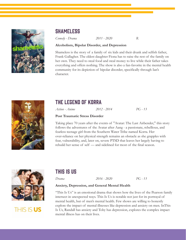

### **SHAMELESS**

*Comedy - Drama 2011 - 2020 R*

#### **Alcoholism, Bipolar Disorder, and Depression**

Shameless is the story of a family of six kids and their drunk and selfish father, Frank Gallagher. The eldest daughter Fiona has to raise the rest of the family on her own. They need to steal food and steal money to live while their father takes everything and offers nothing. The show is also a fan-favorite in the mental health community for its depiction of bipolar disorder, specifically through Ian's character.



### The Legend of Korra

*Action - Anime 2012 - 2014 PG - 13*

#### **Post Traumatic Stress Disorder**

Taking place 70 years after the events of "Avatar: The Last Airbender," this story follows the adventures of the Avatar after Aang - a passionate, rebellious, and fearless teenage girl from the Southern Water Tribe named Korra. Her over-reliance on her physical strength remains an obstacle as she grapples with fear, vulnerability, and, later on, severe PTSD that leaves her largely having to rebuild her sense of self — and sidelined for most of the final season.



## THIS IS US

### This Is Us

*Drama 2016 - 2020 PG - 13*

#### **Anxiety, Depression, and General Mental Health**

"This Is Us" is an emotional drama that shows how the lives of the Pearson family intersect in unexpected ways. This Is Us is notable not just for its portrayal of mental health, but of men's mental health. Few shows are willing to honestly explore the impact of mental illnesses like depression and anxiety on men. InThis Is Us, Randall has anxiety and Toby has depression, explores the complex impact mental illness has on their lives.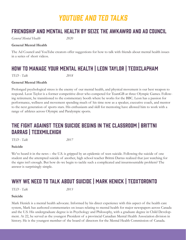# YOUTUBE AND TED TALKS

### Friendship and Mental Health by Seize the Awkawrd and Ad Council

*General Mental Health 2020*

#### **General Mental Health**

The Ad Council and YouTube creators offer suggestions for how to talk with friends about mental health issues in a series of short videos.

### How to Manage Your Mental Health | Leon Taylor | TEDxClapham

*TED - Talk 2018*

#### **General Mental Health**

Prolonged psychological stress is the enemy of our mental health, and physical movement is our best weapon to respond. Leon Taylor is a former competitive diver who competed for TeamGB at three Olympic Games. Following retirement, he transitioned to the commentary booth where he works for the BBC. Leon has a passion for performance, wellness and movement spending much of his time now as a speaker, executive coach, and mentor to the next generation of sports stars. His enthusiasm and skill for mentoring have allowed him to work with a range of athletes across Olympic and Paralympic sports.

### The Fight Against Teen Suicide Begins in the Classroom | Brittni DARRAS | TEDXMILEHIGH

*TED - Talk 2017*

#### **Suicide**

We've heard it in the news – the U.S. is gripped by an epidemic of teen suicide. Following the suicide of one student and the attempted suicide of another, high school teacher Brittni Darras realized that just watching for the signs isn't enough. But how do we begin to tackle such a complicated and insurmountable problem? The answer is surprisingly simple.

### WHY WE NEED TO TALK ABOUT SUICIDE | MARK HENICK | TEDXTORONTO

*TED - Talk 2013*

#### **Suicide**

Mark Henick is a mental health advocate. Informed by his direct experience with this aspect of the health care system, Mark has authored commentaries on issues relating to mental health for major newspapers across Canada and the U.S. His undergraduate degree is in Psychology and Philosophy, with a graduate degree in Child Development. At 22, he served as the youngest President of a provincial Canadian Mental Health Association division in history. He is the youngest member of the board of directors for the Mental Health Commission of Canada.